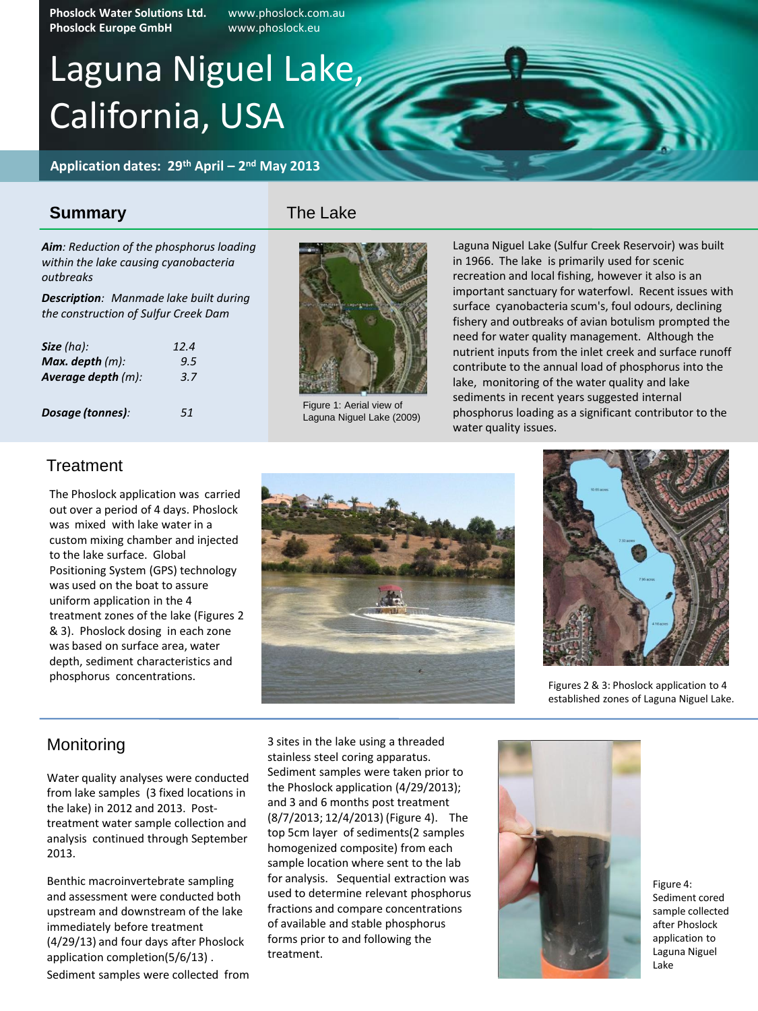Phoslock Water Solutions Ltd. www.phoslock.com.au **Phoslock Europe GmbH** www.phoslock.eu

# Laguna Niguel Lake, California, USA

**Application dates: 29th April – 2 nd May 2013**

### **Summary**

*Aim: Reduction of the phosphorus loading within the lake causing cyanobacteria outbreaks*

*Description: Manmade lake built during the construction of Sulfur Creek Dam*

| Size $(ha)$ :         | 12.4 |
|-----------------------|------|
| Max. depth $(m)$ :    | 9.5  |
| Average depth $(m)$ : | 3.7  |
|                       |      |
| Dosage (tonnes):      | 51   |





Figure 1: Aerial view of Laguna Niguel Lake (2009)

Laguna Niguel Lake (Sulfur Creek Reservoir) was built in 1966. The lake is primarily used for scenic recreation and local fishing, however it also is an important sanctuary for waterfowl. Recent issues with surface cyanobacteria scum's, foul odours, declining fishery and outbreaks of avian botulism prompted the need for water quality management. Although the nutrient inputs from the inlet creek and surface runoff contribute to the annual load of phosphorus into the lake, monitoring of the water quality and lake sediments in recent years suggested internal phosphorus loading as a significant contributor to the water quality issues.

### **Treatment**

The Phoslock application was carried out over a period of 4 days. Phoslock was mixed with lake water in a custom mixing chamber and injected to the lake surface. Global Positioning System (GPS) technology was used on the boat to assure uniform application in the 4 treatment zones of the lake (Figures 2 & 3). Phoslock dosing in each zone was based on surface area, water depth, sediment characteristics and phosphorus concentrations.





Figures 2 & 3: Phoslock application to 4 established zones of Laguna Niguel Lake.

### Monitoring

Water quality analyses were conducted from lake samples (3 fixed locations in the lake) in 2012 and 2013. Posttreatment water sample collection and analysis continued through September 2013.

Benthic macroinvertebrate sampling and assessment were conducted both upstream and downstream of the lake immediately before treatment (4/29/13) and four days after Phoslock application completion(5/6/13) .

Sediment samples were collected from

3 sites in the lake using a threaded stainless steel coring apparatus. Sediment samples were taken prior to the Phoslock application (4/29/2013); and 3 and 6 months post treatment (8/7/2013; 12/4/2013) (Figure 4). The top 5cm layer of sediments(2 samples homogenized composite) from each sample location where sent to the lab for analysis. Sequential extraction was used to determine relevant phosphorus fractions and compare concentrations of available and stable phosphorus forms prior to and following the treatment.



Figure 4: Sediment cored sample collected after Phoslock application to Laguna Niguel Lake